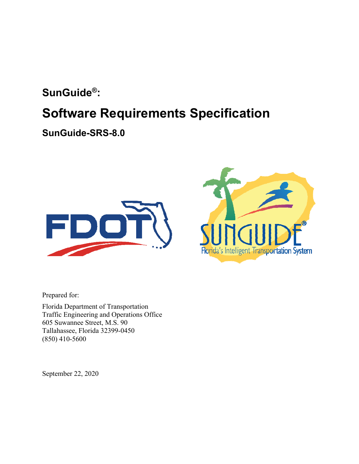### **SunGuide®:**

# **Software Requirements Specification**

**SunGuide-SRS-8.0** 





Prepared for:

Florida Department of Transportation Traffic Engineering and Operations Office 605 Suwannee Street, M.S. 90 Tallahassee, Florida 32399-0450 (850) 410-5600

September 22, 2020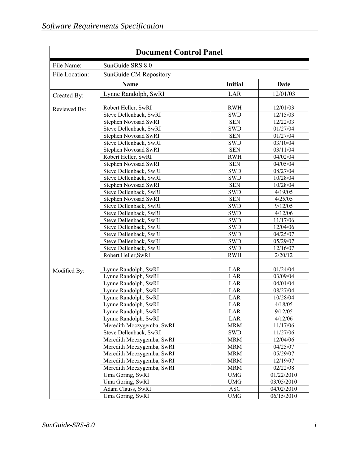| <b>Document Control Panel</b> |                                                        |                          |                        |  |
|-------------------------------|--------------------------------------------------------|--------------------------|------------------------|--|
| File Name:                    | SunGuide SRS 8.0                                       |                          |                        |  |
| File Location:                | SunGuide CM Repository                                 |                          |                        |  |
|                               | <b>Name</b>                                            | <b>Initial</b>           | Date                   |  |
| Created By:                   | Lynne Randolph, SwRI                                   | LAR                      | 12/01/03               |  |
| Reviewed By:                  | Robert Heller, SwRI<br>Steve Dellenback, SwRI          | <b>RWH</b>               | 12/01/03               |  |
|                               | Stephen Novosad SwRI                                   | <b>SWD</b><br><b>SEN</b> | 12/15/03<br>12/22/03   |  |
|                               | Steve Dellenback, SwRI<br>Stephen Novosad SwRI         | <b>SWD</b><br><b>SEN</b> | 01/27/04<br>01/27/04   |  |
|                               | Steve Dellenback, SwRI                                 | <b>SWD</b>               | 03/10/04               |  |
|                               | Stephen Novosad SwRI<br>Robert Heller, SwRI            | <b>SEN</b><br><b>RWH</b> | 03/11/04<br>04/02/04   |  |
|                               | Stephen Novosad SwRI                                   | <b>SEN</b>               | 04/05/04               |  |
|                               | Steve Dellenback, SwRI<br>Steve Dellenback, SwRI       | <b>SWD</b><br><b>SWD</b> | 08/27/04<br>10/28/04   |  |
|                               | Stephen Novosad SwRI                                   | <b>SEN</b>               | 10/28/04               |  |
|                               | Steve Dellenback, SwRI<br>Stephen Novosad SwRI         | <b>SWD</b><br><b>SEN</b> | 4/19/05<br>4/25/05     |  |
|                               | Steve Dellenback, SwRI                                 | <b>SWD</b>               | 9/12/05                |  |
|                               | Steve Dellenback, SwRI<br>Steve Dellenback, SwRI       | <b>SWD</b><br><b>SWD</b> | 4/12/06<br>11/17/06    |  |
|                               | Steve Dellenback, SwRI                                 | <b>SWD</b>               | 12/04/06               |  |
|                               | Steve Dellenback, SwRI<br>Steve Dellenback, SwRI       | <b>SWD</b><br><b>SWD</b> | 04/25/07<br>05/29/07   |  |
|                               | Steve Dellenback, SwRI                                 | <b>SWD</b>               | 12/16/07               |  |
|                               | Robert Heller, SwRI                                    | <b>RWH</b>               | 2/20/12                |  |
| Modified By:                  | Lynne Randolph, SwRI                                   | LAR                      | 01/24/04               |  |
|                               | Lynne Randolph, SwRI<br>Lynne Randolph, SwRI           | LAR<br>LAR               | 03/09/04<br>04/01/04   |  |
|                               | Lynne Randolph, SwRI                                   | LAR                      | 08/27/04               |  |
|                               | Lynne Randolph, SwRI<br>Lynne Randolph, SwRI           | LAR<br>LAR               | 10/28/04<br>4/18/05    |  |
|                               | Lynne Randolph, SwRI                                   | LAR                      | 9/12/05                |  |
|                               | Lynne Randolph, SwRI                                   | LAR                      | 4/12/06                |  |
|                               | Meredith Moczygemba, SwRI<br>Steve Dellenback, SwRI    | <b>MRM</b><br><b>SWD</b> | 11/17/06<br>11/27/06   |  |
|                               | Meredith Moczygemba, SwRI                              | <b>MRM</b>               | 12/04/06               |  |
|                               | Meredith Moczygemba, SwRI<br>Meredith Moczygemba, SwRI | <b>MRM</b><br><b>MRM</b> | 04/25/07<br>05/29/07   |  |
|                               | Meredith Moczygemba, SwRI                              | <b>MRM</b>               | 12/19/07               |  |
|                               | Meredith Moczygemba, SwRI<br>Uma Goring, SwRI          | <b>MRM</b><br><b>UMG</b> | 02/22/08<br>01/22/2010 |  |
|                               | Uma Goring, SwRI                                       | <b>UMG</b>               | 03/05/2010             |  |
|                               | Adam Clauss, SwRI                                      | <b>ASC</b>               | 04/02/2010             |  |
|                               | Uma Goring, SwRI                                       | <b>UMG</b>               | 06/15/2010             |  |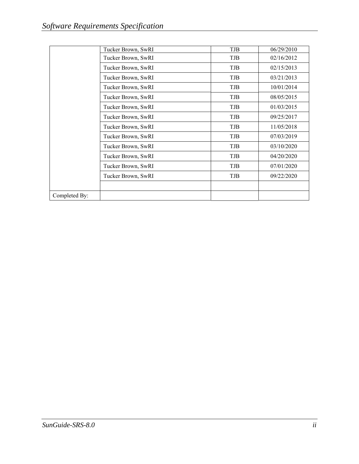|               | Tucker Brown, SwRI | TJB | 06/29/2010 |
|---------------|--------------------|-----|------------|
|               | Tucker Brown, SwRI | TJB | 02/16/2012 |
|               | Tucker Brown, SwRI | TJB | 02/15/2013 |
|               | Tucker Brown, SwRI | TJB | 03/21/2013 |
|               | Tucker Brown, SwRI | TJB | 10/01/2014 |
|               | Tucker Brown, SwRI | TJB | 08/05/2015 |
|               | Tucker Brown, SwRI | TJB | 01/03/2015 |
|               | Tucker Brown, SwRI | TJB | 09/25/2017 |
|               | Tucker Brown, SwRI | TJB | 11/05/2018 |
|               | Tucker Brown, SwRI | TJB | 07/03/2019 |
|               | Tucker Brown, SwRI | TJB | 03/10/2020 |
|               | Tucker Brown, SwRI | TJB | 04/20/2020 |
|               | Tucker Brown, SwRI | TJB | 07/01/2020 |
|               | Tucker Brown, SwRI | TJB | 09/22/2020 |
|               |                    |     |            |
| Completed By: |                    |     |            |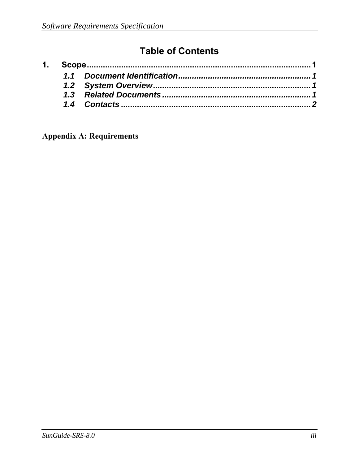## **Table of Contents**

**Appendix A: Requirements**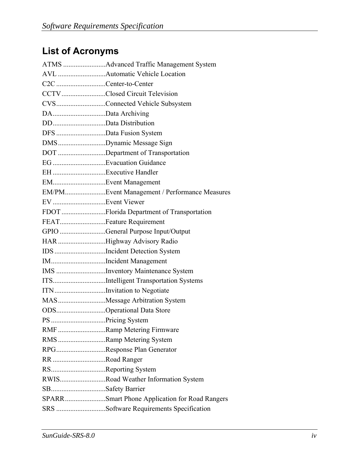# **List of Acronyms**

|                         | AVL Automatic Vehicle Location                |
|-------------------------|-----------------------------------------------|
| C2C Center-to-Center    |                                               |
|                         | CCTVClosed Circuit Television                 |
|                         | CVSConnected Vehicle Subsystem                |
| DAData Archiving        |                                               |
| DDData Distribution     |                                               |
| DFS Data Fusion System  |                                               |
|                         | DMSDynamic Message Sign                       |
|                         | DOT Department of Transportation              |
| EG Evacuation Guidance  |                                               |
|                         |                                               |
| EMEvent Management      |                                               |
|                         | EM/PMEvent Management / Performance Measures  |
|                         |                                               |
|                         | FDOT Florida Department of Transportation     |
| FEATFeature Requirement |                                               |
|                         | GPIO General Purpose Input/Output             |
|                         | HAR Highway Advisory Radio                    |
|                         | IDS Incident Detection System                 |
|                         | IMIncident Management                         |
|                         | IMS Inventory Maintenance System              |
|                         | ITSIntelligent Transportation Systems         |
|                         | ITN Invitation to Negotiate                   |
|                         | MASMessage Arbitration System                 |
|                         | ODSOperational Data Store                     |
| PS Pricing System       |                                               |
|                         | RMF Ramp Metering Firmware                    |
|                         | RMS Ramp Metering System                      |
|                         | RPGResponse Plan Generator                    |
| RR Road Ranger          |                                               |
| RSReporting System      |                                               |
|                         | RWISRoad Weather Information System           |
| SBSafety Barrier        |                                               |
|                         | SPARRSmart Phone Application for Road Rangers |
|                         | SRS Software Requirements Specification       |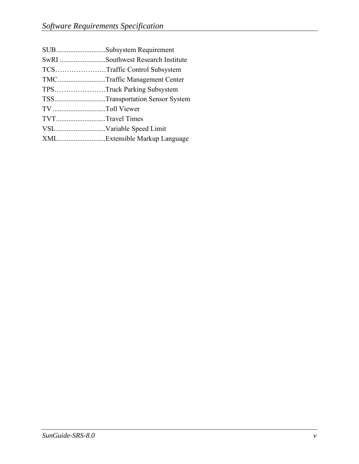|                 | SUBSubsystem Requirement          |
|-----------------|-----------------------------------|
|                 | SwRI Southwest Research Institute |
|                 | TCSTraffic Control Subsystem      |
|                 | TMCTraffic Management Center      |
|                 | TPSTruck Parking Subsystem        |
|                 | TSSTransportation Sensor System   |
| TV Toll Viewer  |                                   |
| TVTTravel Times |                                   |
|                 | VSLVariable Speed Limit           |
|                 | XMLExtensible Markup Language     |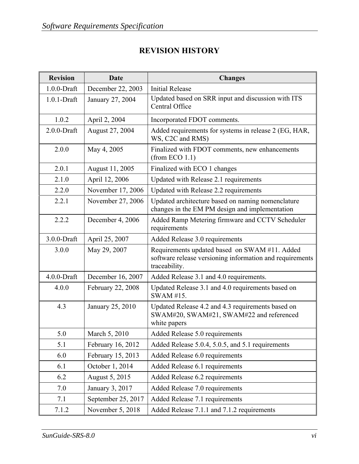#### **REVISION HISTORY**

| <b>Revision</b> | <b>Date</b>        | <b>Changes</b>                                                                                                             |
|-----------------|--------------------|----------------------------------------------------------------------------------------------------------------------------|
| $1.0.0$ -Draft  | December 22, 2003  | <b>Initial Release</b>                                                                                                     |
| $1.0.1$ -Draft  | January 27, 2004   | Updated based on SRR input and discussion with ITS<br>Central Office                                                       |
| 1.0.2           | April 2, 2004      | Incorporated FDOT comments.                                                                                                |
| $2.0.0$ -Draft  | August 27, 2004    | Added requirements for systems in release 2 (EG, HAR,<br>WS, C2C and RMS)                                                  |
| 2.0.0           | May 4, 2005        | Finalized with FDOT comments, new enhancements<br>(from ECO 1.1)                                                           |
| 2.0.1           | August 11, 2005    | Finalized with ECO 1 changes                                                                                               |
| 2.1.0           | April 12, 2006     | Updated with Release 2.1 requirements                                                                                      |
| 2.2.0           | November 17, 2006  | Updated with Release 2.2 requirements                                                                                      |
| 2.2.1           | November 27, 2006  | Updated architecture based on naming nomenclature<br>changes in the EM PM design and implementation                        |
| 2.2.2           | December 4, 2006   | Added Ramp Metering firmware and CCTV Scheduler<br>requirements                                                            |
| 3.0.0-Draft     | April 25, 2007     | Added Release 3.0 requirements                                                                                             |
| 3.0.0           | May 29, 2007       | Requirements updated based on SWAM #11. Added<br>software release versioning information and requirements<br>traceability. |
| $4.0.0$ -Draft  | December 16, 2007  | Added Release 3.1 and 4.0 requirements.                                                                                    |
| 4.0.0           | February 22, 2008  | Updated Release 3.1 and 4.0 requirements based on<br>SWAM #15.                                                             |
| 4.3             | January 25, 2010   | Updated Release 4.2 and 4.3 requirements based on<br>SWAM#20, SWAM#21, SWAM#22 and referenced<br>white papers              |
| 5.0             | March 5, 2010      | Added Release 5.0 requirements                                                                                             |
| 5.1             | February 16, 2012  | Added Release 5.0.4, 5.0.5, and 5.1 requirements                                                                           |
| 6.0             | February 15, 2013  | Added Release 6.0 requirements                                                                                             |
| 6.1             | October 1, 2014    | Added Release 6.1 requirements                                                                                             |
| 6.2             | August 5, 2015     | Added Release 6.2 requirements                                                                                             |
| 7.0             | January 3, 2017    | Added Release 7.0 requirements                                                                                             |
| 7.1             | September 25, 2017 | Added Release 7.1 requirements                                                                                             |
| 7.1.2           | November 5, 2018   | Added Release 7.1.1 and 7.1.2 requirements                                                                                 |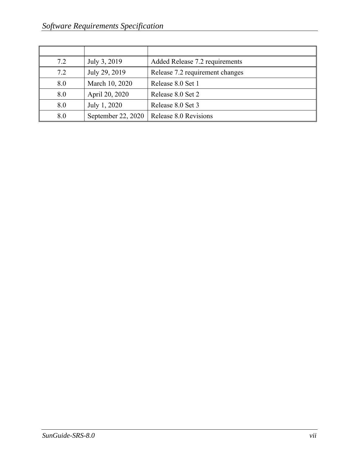| 7.2 | July 3, 2019       | Added Release 7.2 requirements  |
|-----|--------------------|---------------------------------|
| 7.2 | July 29, 2019      | Release 7.2 requirement changes |
| 8.0 | March 10, 2020     | Release 8.0 Set 1               |
| 8.0 | April 20, 2020     | Release 8.0 Set 2               |
| 8.0 | July 1, 2020       | Release 8.0 Set 3               |
| 8.0 | September 22, 2020 | Release 8.0 Revisions           |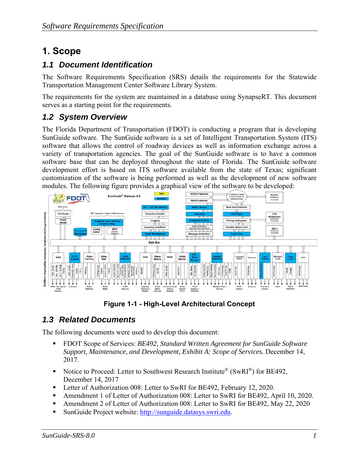## **1. Scope**

#### *1.1 Document Identification*

The Software Requirements Specification (SRS) details the requirements for the Statewide Transportation Management Center Software Library System.

The requirements for the system are maintained in a database using SynapseRT. This document serves as a starting point for the requirements.

#### *1.2 System Overview*

The Florida Department of Transportation (FDOT) is conducting a program that is developing SunGuide software. The SunGuide software is a set of Intelligent Transportation System (ITS) software that allows the control of roadway devices as well as information exchange across a variety of transportation agencies. The goal of the SunGuide software is to have a common software base that can be deployed throughout the state of Florida. The SunGuide software development effort is based on ITS software available from the state of Texas; significant customization of the software is being performed as well as the development of new software modules. The following figure provides a graphical view of the software to be developed:



**Figure 1-1 - High-Level Architectural Concept** 

#### *1.3 Related Documents*

The following documents were used to develop this document:

- FDOT Scope of Services: *BE492, Standard Written Agreement for SunGuide Software Support, Maintenance, and Development, Exhibit A: Scope of Services.* December 14, 2017.
- Notice to Proceed: Letter to Southwest Research Institute<sup>®</sup> (SwRI<sup>®</sup>) for BE492, December 14, 2017
- Letter of Authorization 008: Letter to SwRI for BE492, February 12, 2020.
- Amendment 1 of Letter of Authorization 008: Letter to SwRI for BE492, April 10, 2020.
- Amendment 2 of Letter of Authorization 008: Letter to SwRI for BE492, May 22, 2020
- SunGuide Project website: http://sunguide.datasys.swri.edu.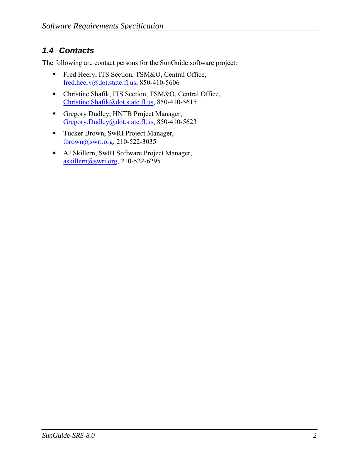#### *1.4 Contacts*

The following are contact persons for the SunGuide software project:

- Fred Heery, ITS Section, TSM&O, Central Office, fred.heery@dot.state.fl.us, 850-410-5606
- Christine Shafik, ITS Section, TSM&O, Central Office, Christine.Shafik@dot.state.fl.us, 850-410-5615
- Gregory Dudley, HNTB Project Manager, Gregory.Dudley@dot.state.fl.us, 850-410-5623
- **Tucker Brown, SwRI Project Manager,** tbrown@swri.org, 210-522-3035
- AJ Skillern, SwRI Software Project Manager, askillern@swri.org, 210-522-6295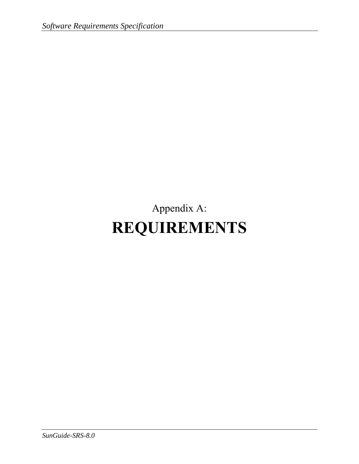# Appendix A: **REQUIREMENTS**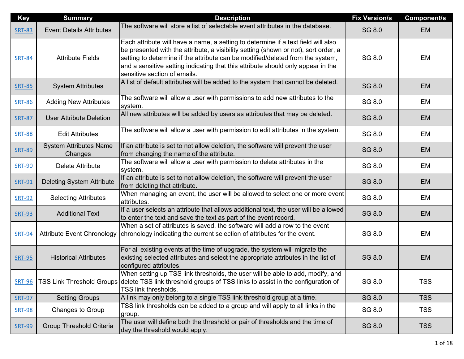| <b>Key</b>    | <b>Summary</b>                           | <b>Description</b>                                                                                                                                                                                                                                                                                                                                                             | <b>Fix Version/s</b> | <b>Component/s</b> |
|---------------|------------------------------------------|--------------------------------------------------------------------------------------------------------------------------------------------------------------------------------------------------------------------------------------------------------------------------------------------------------------------------------------------------------------------------------|----------------------|--------------------|
| <b>SRT-83</b> | <b>Event Details Attributes</b>          | The software will store a list of selectable event attributes in the database.                                                                                                                                                                                                                                                                                                 | SG 8.0               | <b>EM</b>          |
| <b>SRT-84</b> | <b>Attribute Fields</b>                  | Each attribute will have a name, a setting to determine if a text field will also<br>be presented with the attribute, a visibility setting (shown or not), sort order, a<br>setting to determine if the attribute can be modified/deleted from the system,<br>and a sensitive setting indicating that this attribute should only appear in the<br>sensitive section of emails. | SG 8.0               | EM                 |
| <b>SRT-85</b> | <b>System Attributes</b>                 | A list of default attributes will be added to the system that cannot be deleted.                                                                                                                                                                                                                                                                                               | SG 8.0               | <b>EM</b>          |
| <b>SRT-86</b> | <b>Adding New Attributes</b>             | The software will allow a user with permissions to add new attributes to the<br>system.                                                                                                                                                                                                                                                                                        | SG 8.0               | EM                 |
| <b>SRT-87</b> | <b>User Attribute Deletion</b>           | All new attributes will be added by users as attributes that may be deleted.                                                                                                                                                                                                                                                                                                   | SG 8.0               | <b>EM</b>          |
| <b>SRT-88</b> | <b>Edit Attributes</b>                   | The software will allow a user with permission to edit attributes in the system.                                                                                                                                                                                                                                                                                               | SG 8.0               | EM                 |
| <b>SRT-89</b> | <b>System Attributes Name</b><br>Changes | If an attribute is set to not allow deletion, the software will prevent the user<br>from changing the name of the attribute.                                                                                                                                                                                                                                                   | SG 8.0               | <b>EM</b>          |
| <b>SRT-90</b> | Delete Attribute                         | The software will allow a user with permission to delete attributes in the<br>system.                                                                                                                                                                                                                                                                                          | SG 8.0               | EM                 |
| <b>SRT-91</b> | <b>Deleting System Attribute</b>         | If an attribute is set to not allow deletion, the software will prevent the user<br>from deleting that attribute.                                                                                                                                                                                                                                                              | SG 8.0               | <b>EM</b>          |
| <b>SRT-92</b> | <b>Selecting Attributes</b>              | When managing an event, the user will be allowed to select one or more event<br>attributes.                                                                                                                                                                                                                                                                                    | SG 8.0               | EM                 |
| <b>SRT-93</b> | <b>Additional Text</b>                   | If a user selects an attribute that allows additional text, the user will be allowed<br>to enter the text and save the text as part of the event record.                                                                                                                                                                                                                       | SG 8.0               | <b>EM</b>          |
| <b>SRT-94</b> | <b>Attribute Event Chronology</b>        | When a set of attributes is saved, the software will add a row to the event<br>chronology indicating the current selection of attributes for the event.                                                                                                                                                                                                                        | SG 8.0               | EM                 |
| <b>SRT-95</b> | <b>Historical Attributes</b>             | For all existing events at the time of upgrade, the system will migrate the<br>existing selected attributes and select the appropriate attributes in the list of<br>configured attributes.                                                                                                                                                                                     | SG 8.0               | <b>EM</b>          |
| <b>SRT-96</b> |                                          | When setting up TSS link thresholds, the user will be able to add, modify, and<br>TSS Link Threshold Groups delete TSS link threshold groups of TSS links to assist in the configuration of<br>TSS link thresholds.                                                                                                                                                            | SG 8.0               | <b>TSS</b>         |
| <b>SRT-97</b> | <b>Setting Groups</b>                    | A link may only belong to a single TSS link threshold group at a time.                                                                                                                                                                                                                                                                                                         | SG 8.0               | <b>TSS</b>         |
| <b>SRT-98</b> | Changes to Group                         | TSS link thresholds can be added to a group and will apply to all links in the<br>group.                                                                                                                                                                                                                                                                                       | SG 8.0               | <b>TSS</b>         |
| <b>SRT-99</b> | <b>Group Threshold Criteria</b>          | The user will define both the threshold or pair of thresholds and the time of<br>day the threshold would apply.                                                                                                                                                                                                                                                                | SG 8.0               | <b>TSS</b>         |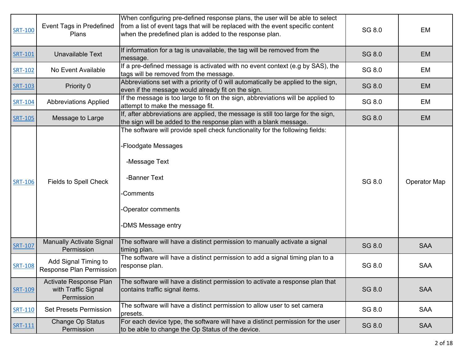| <b>SRT-100</b> | <b>Event Tags in Predefined</b><br>Plans                    | When configuring pre-defined response plans, the user will be able to select<br>from a list of event tags that will be replaced with the event specific content<br>when the predefined plan is added to the response plan. | SG 8.0 | EM                  |
|----------------|-------------------------------------------------------------|----------------------------------------------------------------------------------------------------------------------------------------------------------------------------------------------------------------------------|--------|---------------------|
| <b>SRT-101</b> | Unavailable Text                                            | If information for a tag is unavailable, the tag will be removed from the<br>message.                                                                                                                                      | SG 8.0 | <b>EM</b>           |
| <b>SRT-102</b> | No Event Available                                          | If a pre-defined message is activated with no event context (e.g by SAS), the<br>tags will be removed from the message.                                                                                                    | SG 8.0 | EM                  |
| <b>SRT-103</b> | Priority 0                                                  | Abbreviations set with a priority of 0 will automatically be applied to the sign,<br>even if the message would already fit on the sign.                                                                                    | SG 8.0 | <b>EM</b>           |
| <b>SRT-104</b> | <b>Abbreviations Applied</b>                                | If the message is too large to fit on the sign, abbreviations will be applied to<br>attempt to make the message fit.                                                                                                       | SG 8.0 | EM                  |
| <b>SRT-105</b> | Message to Large                                            | If, after abbreviations are applied, the message is still too large for the sign,<br>the sign will be added to the response plan with a blank message.                                                                     | SG 8.0 | <b>EM</b>           |
| <b>SRT-106</b> | <b>Fields to Spell Check</b>                                | The software will provide spell check functionality for the following fields:<br>-Floodgate Messages<br>-Message Text<br>-Banner Text<br>-Comments<br>-Operator comments<br>-DMS Message entry                             | SG 8.0 | <b>Operator Map</b> |
| <b>SRT-107</b> | <b>Manually Activate Signal</b><br>Permission               | The software will have a distinct permission to manually activate a signal<br>timing plan.                                                                                                                                 | SG 8.0 | <b>SAA</b>          |
| <b>SRT-108</b> | Add Signal Timing to<br><b>Response Plan Permission</b>     | The software will have a distinct permission to add a signal timing plan to a<br>response plan.                                                                                                                            | SG 8.0 | <b>SAA</b>          |
| <b>SRT-109</b> | Activate Response Plan<br>with Traffic Signal<br>Permission | The software will have a distinct permission to activate a response plan that<br>contains traffic signal items.                                                                                                            | SG 8.0 | <b>SAA</b>          |
| <b>SRT-110</b> | <b>Set Presets Permission</b>                               | The software will have a distinct permission to allow user to set camera<br>presets.                                                                                                                                       | SG 8.0 | <b>SAA</b>          |
| SRT-111        | Change Op Status<br>Permission                              | For each device type, the software will have a distinct permission for the user<br>to be able to change the Op Status of the device.                                                                                       | SG 8.0 | <b>SAA</b>          |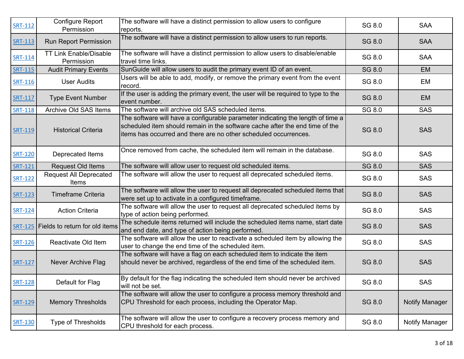| <b>SRT-112</b> | <b>Configure Report</b><br>Permission       | The software will have a distinct permission to allow users to configure<br>reports.                                                                                                                                                | SG 8.0 | <b>SAA</b>            |
|----------------|---------------------------------------------|-------------------------------------------------------------------------------------------------------------------------------------------------------------------------------------------------------------------------------------|--------|-----------------------|
| <b>SRT-113</b> | <b>Run Report Permission</b>                | The software will have a distinct permission to allow users to run reports.                                                                                                                                                         | SG 8.0 | <b>SAA</b>            |
| SRT-114        | <b>TT Link Enable/Disable</b><br>Permission | The software will have a distinct permission to allow users to disable/enable<br>travel time links.                                                                                                                                 | SG 8.0 | <b>SAA</b>            |
| SRT-115        | <b>Audit Primary Events</b>                 | SunGuide will allow users to audit the primary event ID of an event.                                                                                                                                                                | SG 8.0 | <b>EM</b>             |
| <b>SRT-116</b> | <b>User Audits</b>                          | Users will be able to add, modify, or remove the primary event from the event<br>record.                                                                                                                                            | SG 8.0 | EM                    |
| <b>SRT-117</b> | <b>Type Event Number</b>                    | If the user is adding the primary event, the user will be required to type to the<br>event number.                                                                                                                                  | SG 8.0 | <b>EM</b>             |
| <b>SRT-118</b> | Archive Old SAS Items                       | The software will archive old SAS scheduled items.                                                                                                                                                                                  | SG 8.0 | <b>SAS</b>            |
| <b>SRT-119</b> | <b>Historical Criteria</b>                  | The software will have a configurable parameter indicating the length of time a<br>scheduled item should remain in the software cache after the end time of the<br>items has occurred and there are no other scheduled occurrences. | SG 8.0 | <b>SAS</b>            |
| <b>SRT-120</b> | Deprecated Items                            | Once removed from cache, the scheduled item will remain in the database.                                                                                                                                                            | SG 8.0 | <b>SAS</b>            |
| <b>SRT-121</b> | Request Old Items                           | The software will allow user to request old scheduled items.                                                                                                                                                                        | SG 8.0 | <b>SAS</b>            |
| SRT-122        | <b>Request All Deprecated</b><br>Items      | The software will allow the user to request all deprecated scheduled items.                                                                                                                                                         | SG 8.0 | <b>SAS</b>            |
| <b>SRT-123</b> | <b>Timeframe Criteria</b>                   | The software will allow the user to request all deprecated scheduled items that<br>were set up to activate in a configured timeframe.                                                                                               | SG 8.0 | <b>SAS</b>            |
| <b>SRT-124</b> | <b>Action Criteria</b>                      | The software will allow the user to request all deprecated scheduled items by<br>type of action being performed.                                                                                                                    | SG 8.0 | <b>SAS</b>            |
|                | SRT-125 Fields to return for old items      | The schedule items returned will include the scheduled items name, start date<br>and end date, and type of action being performed.                                                                                                  | SG 8.0 | <b>SAS</b>            |
| <b>SRT-126</b> | Reactivate Old Item                         | The software will allow the user to reactivate a scheduled item by allowing the<br>user to change the end time of the scheduled item.                                                                                               | SG 8.0 | <b>SAS</b>            |
| <b>SRT-127</b> | <b>Never Archive Flag</b>                   | The software will have a flag on each scheduled item to indicate the item<br>should never be archived, regardless of the end time of the scheduled item.                                                                            | SG 8.0 | <b>SAS</b>            |
| <b>SRT-128</b> | Default for Flag                            | By default for the flag indicating the scheduled item should never be archived<br>will not be set.                                                                                                                                  | SG 8.0 | <b>SAS</b>            |
| <b>SRT-129</b> | <b>Memory Thresholds</b>                    | The software will allow the user to configure a process memory threshold and<br>CPU Threshold for each process, including the Operator Map.                                                                                         | SG 8.0 | <b>Notify Manager</b> |
| <b>SRT-130</b> | <b>Type of Thresholds</b>                   | The software will allow the user to configure a recovery process memory and<br>CPU threshold for each process.                                                                                                                      | SG 8.0 | Notify Manager        |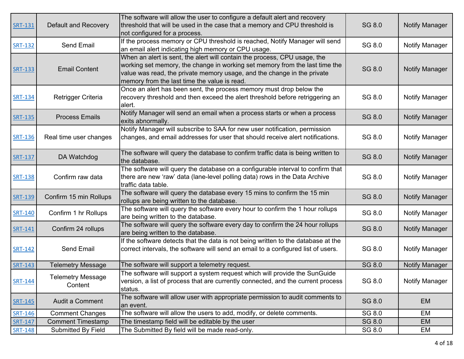|                |                          | The software will allow the user to configure a default alert and recovery                        |        |                       |
|----------------|--------------------------|---------------------------------------------------------------------------------------------------|--------|-----------------------|
| <b>SRT-131</b> | Default and Recovery     | threshold that will be used in the case that a memory and CPU threshold is                        | SG 8.0 | <b>Notify Manager</b> |
|                |                          | not configured for a process.                                                                     |        |                       |
|                |                          | If the process memory or CPU threshold is reached, Notify Manager will send                       |        |                       |
| <b>SRT-132</b> | <b>Send Email</b>        | an email alert indicating high memory or CPU usage.                                               | SG 8.0 | <b>Notify Manager</b> |
|                |                          | When an alert is sent, the alert will contain the process, CPU usage, the                         |        |                       |
| <b>SRT-133</b> | <b>Email Content</b>     | working set memory, the change in working set memory from the last time the                       | SG 8.0 | <b>Notify Manager</b> |
|                |                          | value was read, the private memory usage, and the change in the private                           |        |                       |
|                |                          | memory from the last time the value is read.                                                      |        |                       |
|                |                          | Once an alert has been sent, the process memory must drop below the                               |        |                       |
| <b>SRT-134</b> | Retrigger Criteria       | recovery threshold and then exceed the alert threshold before retriggering an                     | SG 8.0 | Notify Manager        |
|                |                          | alert.                                                                                            |        |                       |
| SRT-135        | <b>Process Emails</b>    | Notify Manager will send an email when a process starts or when a process                         | SG 8.0 | <b>Notify Manager</b> |
|                |                          | exits abnormally.                                                                                 |        |                       |
|                |                          | Notify Manager will subscribe to SAA for new user notification, permission                        |        |                       |
| <b>SRT-136</b> | Real time user changes   | changes, and email addresses for user that should receive alert notifications.                    | SG 8.0 | Notify Manager        |
|                |                          |                                                                                                   |        |                       |
| <b>SRT-137</b> | DA Watchdog              | The software will query the database to confirm traffic data is being written to<br>the database. | SG 8.0 | <b>Notify Manager</b> |
|                |                          | The software will query the database on a configurable interval to confirm that                   |        |                       |
| <b>SRT-138</b> | Confirm raw data         | there are new 'raw' data (lane-level polling data) rows in the Data Archive                       | SG 8.0 | <b>Notify Manager</b> |
|                |                          | traffic data table.                                                                               |        |                       |
|                |                          | The software will query the database every 15 mins to confirm the 15 min                          |        |                       |
| <b>SRT-139</b> | Confirm 15 min Rollups   | rollups are being written to the database.                                                        | SG 8.0 | <b>Notify Manager</b> |
|                |                          | The software will query the software every hour to confirm the 1 hour rollups                     |        |                       |
| SRT-140        | Confirm 1 hr Rollups     | are being written to the database.                                                                | SG 8.0 | Notify Manager        |
|                |                          | The software will query the software every day to confirm the 24 hour rollups                     |        |                       |
| <b>SRT-141</b> | Confirm 24 rollups       | are being written to the database.                                                                | SG 8.0 | <b>Notify Manager</b> |
|                |                          | If the software detects that the data is not being written to the database at the                 |        |                       |
| <b>SRT-142</b> | <b>Send Email</b>        | correct intervals, the software will send an email to a configured list of users.                 | SG 8.0 | <b>Notify Manager</b> |
|                |                          |                                                                                                   |        |                       |
| <b>SRT-143</b> | <b>Telemetry Message</b> | The software will support a telemetry request.                                                    | SG 8.0 | <b>Notify Manager</b> |
|                | <b>Telemetry Message</b> | The software will support a system request which will provide the SunGuide                        |        |                       |
| <b>SRT-144</b> | Content                  | version, a list of process that are currently connected, and the current process                  | SG 8.0 | Notify Manager        |
|                |                          | status.                                                                                           |        |                       |
| <b>SRT-145</b> | Audit a Comment          | The software will allow user with appropriate permission to audit comments to                     | SG 8.0 | <b>EM</b>             |
|                |                          | an event.                                                                                         |        |                       |
| <b>SRT-146</b> | <b>Comment Changes</b>   | The software will allow the users to add, modify, or delete comments.                             | SG 8.0 | EM                    |
| <b>SRT-147</b> | <b>Comment Timestamp</b> | The timestamp field will be editable by the user                                                  | SG 8.0 | <b>EM</b>             |
| SRT-148        | Submitted By Field       | The Submitted By field will be made read-only.                                                    | SG 8.0 | EM                    |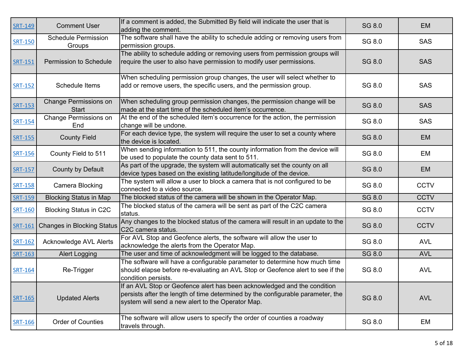| <b>SRT-149</b> | <b>Comment User</b>                          | If a comment is added, the Submitted By field will indicate the user that is<br>adding the comment.                                                                                                              | SG 8.0        | <b>EM</b>   |
|----------------|----------------------------------------------|------------------------------------------------------------------------------------------------------------------------------------------------------------------------------------------------------------------|---------------|-------------|
| <b>SRT-150</b> | <b>Schedule Permission</b><br>Groups         | The software shall have the ability to schedule adding or removing users from<br>permission groups.                                                                                                              | SG 8.0        | <b>SAS</b>  |
| SRT-151        | <b>Permission to Schedule</b>                | The ability to schedule adding or removing users from permission groups will<br>require the user to also have permission to modify user permissions.                                                             | <b>SG 8.0</b> | <b>SAS</b>  |
| <b>SRT-152</b> | Schedule Items                               | When scheduling permission group changes, the user will select whether to<br>add or remove users, the specific users, and the permission group.                                                                  | SG 8.0        | <b>SAS</b>  |
| SRT-153        | <b>Change Permissions on</b><br><b>Start</b> | When scheduling group permission changes, the permission change will be<br>made at the start time of the scheduled item's occurrence.                                                                            | SG 8.0        | <b>SAS</b>  |
| SRT-154        | <b>Change Permissions on</b><br>End          | At the end of the scheduled item's occurrence for the action, the permission<br>change will be undone.                                                                                                           | SG 8.0        | <b>SAS</b>  |
| <b>SRT-155</b> | <b>County Field</b>                          | For each device type, the system will require the user to set a county where<br>the device is located.                                                                                                           | SG 8.0        | <b>EM</b>   |
| <b>SRT-156</b> | County Field to 511                          | When sending information to 511, the county information from the device will<br>be used to populate the county data sent to 511.                                                                                 | SG 8.0        | EM          |
| <b>SRT-157</b> | County by Default                            | As part of the upgrade, the system will automatically set the county on all<br>device types based on the existing latitude/longitude of the device.                                                              | SG 8.0        | <b>EM</b>   |
| <b>SRT-158</b> | <b>Camera Blocking</b>                       | The system will allow a user to block a camera that is not configured to be<br>connected to a video source.                                                                                                      | SG 8.0        | <b>CCTV</b> |
| SRT-159        | <b>Blocking Status in Map</b>                | The blocked status of the camera will be shown in the Operator Map.                                                                                                                                              | SG 8.0        | <b>CCTV</b> |
| SRT-160        | <b>Blocking Status in C2C</b>                | The blocked status of the camera will be sent as part of the C2C camera<br>status.                                                                                                                               | SG 8.0        | <b>CCTV</b> |
| <b>SRT-161</b> | <b>Changes in Blocking Status</b>            | Any changes to the blocked status of the camera will result in an update to the<br>C <sub>2</sub> C camera status.                                                                                               | SG 8.0        | <b>CCTV</b> |
| <b>SRT-162</b> | <b>Acknowledge AVL Alerts</b>                | For AVL Stop and Geofence alerts, the software will allow the user to<br>acknowledge the alerts from the Operator Map.                                                                                           | SG 8.0        | <b>AVL</b>  |
| <b>SRT-163</b> | <b>Alert Logging</b>                         | The user and time of acknowledgment will be logged to the database.                                                                                                                                              | SG 8.0        | <b>AVL</b>  |
| SRT-164        | Re-Trigger                                   | The software will have a configurable parameter to determine how much time<br>should elapse before re-evaluating an AVL Stop or Geofence alert to see if the<br>condition persists.                              | SG 8.0        | <b>AVL</b>  |
| <b>SRT-165</b> | <b>Updated Alerts</b>                        | If an AVL Stop or Geofence alert has been acknowledged and the condition<br>persists after the length of time determined by the configurable parameter, the<br>system will send a new alert to the Operator Map. | SG 8.0        | <b>AVL</b>  |
| <b>SRT-166</b> | Order of Counties                            | The software will allow users to specify the order of counties a roadway<br>travels through.                                                                                                                     | SG 8.0        | EM          |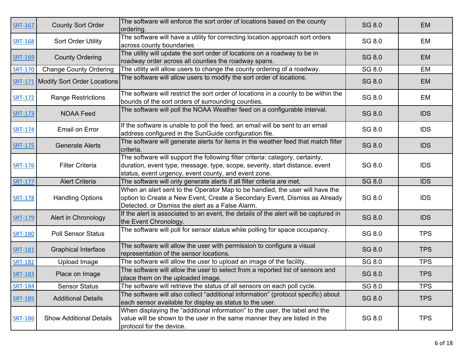| <b>SRT-167</b> | <b>County Sort Order</b>                   | The software will enforce the sort order of locations based on the county<br>ordering.                                                                                                                               | SG 8.0 | <b>EM</b>  |
|----------------|--------------------------------------------|----------------------------------------------------------------------------------------------------------------------------------------------------------------------------------------------------------------------|--------|------------|
| <b>SRT-168</b> | Sort Order Utility                         | The software will have a utility for correcting location approach sort orders<br>across county boundaries                                                                                                            | SG 8.0 | EM         |
| <b>SRT-169</b> | <b>County Ordering</b>                     | The utility will update the sort order of locations on a roadway to be in<br>roadway order across all counties the roadway spans.                                                                                    | SG 8.0 | <b>EM</b>  |
| <b>SRT-170</b> | <b>Change County Ordering</b>              | The utility will allow users to change the county ordering of a roadway.                                                                                                                                             | SG 8.0 | EM         |
|                | <b>SRT-171</b> Modify Sort Order Locations | The software will allow users to modify the sort order of locations.                                                                                                                                                 | SG 8.0 | <b>EM</b>  |
| <b>SRT-172</b> | <b>Range Restrictions</b>                  | The software will restrict the sort order of locations in a county to be within the<br>bounds of the sort orders of surrounding counties.                                                                            | SG 8.0 | EM         |
| <b>SRT-173</b> | <b>NOAA Feed</b>                           | The software will poll the NOAA Weather feed on a configurable interval.                                                                                                                                             | SG 8.0 | <b>IDS</b> |
| <b>SRT-174</b> | Email on Error                             | If the software is unable to poll the feed, an email will be sent to an email<br>address configured in the SunGuide configuration file.                                                                              | SG 8.0 | <b>IDS</b> |
| <b>SRT-175</b> | <b>Generate Alerts</b>                     | The software will generate alerts for items in the weather feed that match filter<br>criteria.                                                                                                                       | SG 8.0 | <b>IDS</b> |
| <b>SRT-176</b> | <b>Filter Criteria</b>                     | The software will support the following filter criteria: category, certainty,<br>duration, event type, message, type, scope, severity, start distance, event<br>status, event urgency, event county, and event zone. | SG 8.0 | <b>IDS</b> |
| <b>SRT-177</b> | <b>Alert Criteria</b>                      | The software will only generate alerts if all filter criteria are met.                                                                                                                                               | SG 8.0 | <b>IDS</b> |
| <b>SRT-178</b> | <b>Handling Options</b>                    | When an alert sent to the Operator Map to be handled, the user will have the<br>option to Create a New Event, Create a Secondary Event, Dismiss as Already<br>Detected, or Dismiss the alert as a False Alarm.       | SG 8.0 | <b>IDS</b> |
| SRT-179        | Alert in Chronology                        | If the alert is associated to an event, the details of the alert will be captured in<br>the Event Chronology.                                                                                                        | SG 8.0 | <b>IDS</b> |
| <b>SRT-180</b> | <b>Poll Sensor Status</b>                  | The software will poll for sensor status while polling for space occupancy.                                                                                                                                          | SG 8.0 | <b>TPS</b> |
| <b>SRT-181</b> | <b>Graphical Interface</b>                 | The software will allow the user with permission to configure a visual<br>representation of the sensor locations.                                                                                                    | SG 8.0 | <b>TPS</b> |
| SRT-182        | <b>Upload Image</b>                        | The software will allow the user to upload an image of the facility.                                                                                                                                                 | SG 8.0 | <b>TPS</b> |
| SRT-183        | Place on Image                             | The software will allow the user to select from a reported list of sensors and<br>place them on the uploaded image.                                                                                                  | SG 8.0 | <b>TPS</b> |
| <b>SRT-184</b> | <b>Sensor Status</b>                       | The software will retrieve the status of all sensors on each poll cycle.                                                                                                                                             | SG 8.0 | <b>TPS</b> |
| <b>SRT-185</b> | <b>Additional Details</b>                  | The software will also collect "additional information" (protocol specific) about<br>each sensor available for display as status to the user.                                                                        | SG 8.0 | <b>TPS</b> |
| SRT-186        | <b>Show Additional Details</b>             | When displaying the "additional information" to the user, the label and the<br>value will be shown to the user in the same manner they are listed in the<br>protocol for the device.                                 | SG 8.0 | <b>TPS</b> |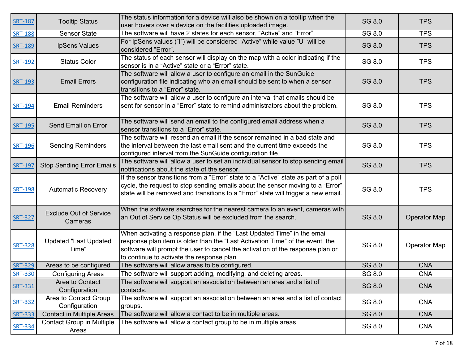| <b>SRT-187</b> | <b>Tooltip Status</b>                     | The status information for a device will also be shown on a tooltip when the                                                                                                                                                                                                              | SG 8.0        | <b>TPS</b>          |
|----------------|-------------------------------------------|-------------------------------------------------------------------------------------------------------------------------------------------------------------------------------------------------------------------------------------------------------------------------------------------|---------------|---------------------|
|                |                                           | user hovers over a device on the facilities uploaded image.                                                                                                                                                                                                                               |               |                     |
| <b>SRT-188</b> | <b>Sensor State</b>                       | The software will have 2 states for each sensor, "Active" and "Error".                                                                                                                                                                                                                    | SG 8.0        | <b>TPS</b>          |
| <b>SRT-189</b> | <b>IpSens Values</b>                      | For IpSens values ("I") will be considered "Active" while value "U" will be<br>considered "Error".                                                                                                                                                                                        | SG 8.0        | <b>TPS</b>          |
| <b>SRT-192</b> | <b>Status Color</b>                       | The status of each sensor will display on the map with a color indicating if the<br>sensor is in a "Active" state or a "Error" state.                                                                                                                                                     | SG 8.0        | <b>TPS</b>          |
| <b>SRT-193</b> | <b>Email Errors</b>                       | The software will allow a user to configure an email in the SunGuide<br>configuration file indicating who an email should be sent to when a sensor<br>transitions to a "Error" state.                                                                                                     | SG 8.0        | <b>TPS</b>          |
| <b>SRT-194</b> | <b>Email Reminders</b>                    | The software will allow a user to configure an interval that emails should be<br>sent for sensor in a "Error" state to remind administrators about the problem.                                                                                                                           | SG 8.0        | <b>TPS</b>          |
| <b>SRT-195</b> | Send Email on Error                       | The software will send an email to the configured email address when a<br>sensor transitions to a "Error" state.                                                                                                                                                                          | SG 8.0        | <b>TPS</b>          |
| <b>SRT-196</b> | <b>Sending Reminders</b>                  | The software will resend an email if the sensor remained in a bad state and<br>the interval between the last email sent and the current time exceeds the<br>configured interval from the SunGuide configuration file.                                                                     | SG 8.0        | <b>TPS</b>          |
| <b>SRT-197</b> | <b>Stop Sending Error Emails</b>          | The software will allow a user to set an individual sensor to stop sending email<br>notifications about the state of the sensor.                                                                                                                                                          | SG 8.0        | <b>TPS</b>          |
| <b>SRT-198</b> | <b>Automatic Recovery</b>                 | If the sensor transitions from a "Error" state to a "Active" state as part of a poll<br>cycle, the request to stop sending emails about the sensor moving to a "Error"<br>state will be removed and transitions to a "Error" state will trigger a new email.                              | SG 8.0        | <b>TPS</b>          |
| <b>SRT-327</b> | <b>Exclude Out of Service</b><br>Cameras  | When the software searches for the nearest camera to an event, cameras with<br>an Out of Service Op Status will be excluded from the search.                                                                                                                                              | SG 8.0        | <b>Operator Map</b> |
| <b>SRT-328</b> | <b>Updated "Last Updated</b><br>Time"     | When activating a response plan, if the "Last Updated Time" in the email<br>response plan item is older than the "Last Activation Time" of the event, the<br>software will prompt the user to cancel the activation of the response plan or<br>to continue to activate the response plan. | SG 8.0        | <b>Operator Map</b> |
| <b>SRT-329</b> | Areas to be configured                    | The software will allow areas to be configured.                                                                                                                                                                                                                                           | SG 8.0        | <b>CNA</b>          |
| <b>SRT-330</b> | <b>Configuring Areas</b>                  | The software will support adding, modifying, and deleting areas.                                                                                                                                                                                                                          | SG 8.0        | <b>CNA</b>          |
| <b>SRT-331</b> | Area to Contact<br>Configuration          | The software will support an association between an area and a list of<br>contacts.                                                                                                                                                                                                       | SG 8.0        | <b>CNA</b>          |
| <b>SRT-332</b> | Area to Contact Group<br>Configuration    | The software will support an association between an area and a list of contact<br>groups.                                                                                                                                                                                                 | SG 8.0        | <b>CNA</b>          |
| <b>SRT-333</b> | <b>Contact in Multiple Areas</b>          | The software will allow a contact to be in multiple areas.                                                                                                                                                                                                                                | <b>SG 8.0</b> | <b>CNA</b>          |
| <b>SRT-334</b> | <b>Contact Group in Multiple</b><br>Areas | The software will allow a contact group to be in multiple areas.                                                                                                                                                                                                                          | SG 8.0        | <b>CNA</b>          |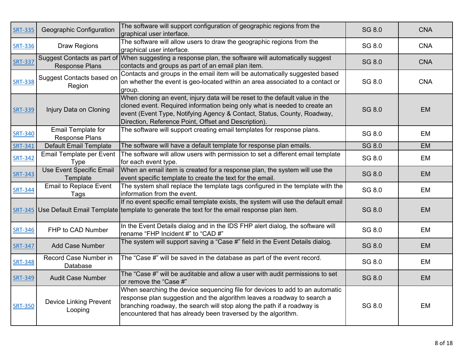| <b>SRT-335</b> | Geographic Configuration                             | The software will support configuration of geographic regions from the<br>graphical user interface.                                                                                                                                                                                                | SG 8.0 | <b>CNA</b> |
|----------------|------------------------------------------------------|----------------------------------------------------------------------------------------------------------------------------------------------------------------------------------------------------------------------------------------------------------------------------------------------------|--------|------------|
| <b>SRT-336</b> | <b>Draw Regions</b>                                  | The software will allow users to draw the geographic regions from the<br>graphical user interface.                                                                                                                                                                                                 | SG 8.0 | <b>CNA</b> |
| <b>SRT-337</b> | Suggest Contacts as part of<br><b>Response Plans</b> | When suggesting a response plan, the software will automatically suggest<br>contacts and groups as part of an email plan item.                                                                                                                                                                     | SG 8.0 | <b>CNA</b> |
| <b>SRT-338</b> | <b>Suggest Contacts based on</b><br>Region           | Contacts and groups in the email item will be automatically suggested based<br>on whether the event is geo-located within an area associated to a contact or<br>group.                                                                                                                             | SG 8.0 | <b>CNA</b> |
| <b>SRT-339</b> | Injury Data on Cloning                               | When cloning an event, injury data will be reset to the default value in the<br>cloned event. Required information being only what is needed to create an<br>event (Event Type, Notifying Agency & Contact, Status, County, Roadway,<br>Direction, Reference Point, Offset and Description).       | SG 8.0 | <b>EM</b>  |
| <b>SRT-340</b> | <b>Email Template for</b><br><b>Response Plans</b>   | The software will support creating email templates for response plans.                                                                                                                                                                                                                             | SG 8.0 | EM         |
| <b>SRT-341</b> | <b>Default Email Template</b>                        | The software will have a default template for response plan emails.                                                                                                                                                                                                                                | SG 8.0 | <b>EM</b>  |
| <b>SRT-342</b> | Email Template per Event<br><b>Type</b>              | The software will allow users with permission to set a different email template<br>for each event type.                                                                                                                                                                                            | SG 8.0 | EM         |
| <b>SRT-343</b> | <b>Use Event Specific Email</b><br>Template          | When an email item is created for a response plan, the system will use the<br>event specific template to create the text for the email.                                                                                                                                                            | SG 8.0 | <b>EM</b>  |
| <b>SRT-344</b> | <b>Email to Replace Event</b><br>Tags                | The system shall replace the template tags configured in the template with the<br>information from the event.                                                                                                                                                                                      | SG 8.0 | EM         |
|                |                                                      | If no event specific email template exists, the system will use the default email<br>$SRT-345$ Use Default Email Template template to generate the text for the email response plan item.                                                                                                          | SG 8.0 | <b>EM</b>  |
| <b>SRT-346</b> | FHP to CAD Number                                    | In the Event Details dialog and in the IDS FHP alert dialog, the software will<br>rename "FHP Incident #" to "CAD #"                                                                                                                                                                               | SG 8.0 | EM         |
| <b>SRT-347</b> | <b>Add Case Number</b>                               | The system will support saving a "Case #" field in the Event Details dialog.                                                                                                                                                                                                                       | SG 8.0 | <b>EM</b>  |
| <b>SRT-348</b> | Record Case Number in<br>Database                    | The "Case #" will be saved in the database as part of the event record.                                                                                                                                                                                                                            | SG 8.0 | EM         |
| <b>SRT-349</b> | <b>Audit Case Number</b>                             | The "Case #" will be auditable and allow a user with audit permissions to set<br>or remove the "Case #"                                                                                                                                                                                            | SG 8.0 | <b>EM</b>  |
| <b>SRT-350</b> | <b>Device Linking Prevent</b><br>Looping             | When searching the device sequencing file for devices to add to an automatic<br>response plan suggestion and the algorithm leaves a roadway to search a<br>branching roadway, the search will stop along the path if a roadway is<br>encountered that has already been traversed by the algorithm. | SG 8.0 | EM         |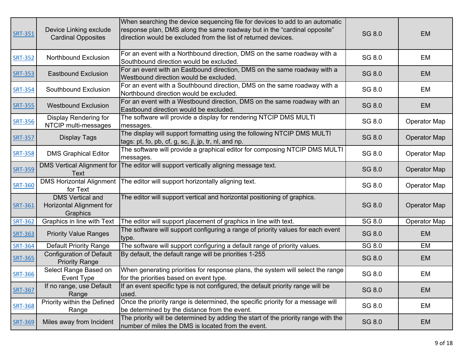| <b>SRT-351</b> | Device Linking exclude<br><b>Cardinal Opposites</b>             | When searching the device sequencing file for devices to add to an automatic<br>response plan, DMS along the same roadway but in the "cardinal opposite"<br>direction would be excluded from the list of returned devices. | SG 8.0 | <b>EM</b>           |
|----------------|-----------------------------------------------------------------|----------------------------------------------------------------------------------------------------------------------------------------------------------------------------------------------------------------------------|--------|---------------------|
| <b>SRT-352</b> | Northbound Exclusion                                            | For an event with a Northbound direction, DMS on the same roadway with a<br>Southbound direction would be excluded.                                                                                                        | SG 8.0 | EM                  |
| <b>SRT-353</b> | <b>Eastbound Exclusion</b>                                      | For an event with an Eastbound direction, DMS on the same roadway with a<br>Westbound direction would be excluded.                                                                                                         | SG 8.0 | <b>EM</b>           |
| <b>SRT-354</b> | Southbound Exclusion                                            | For an event with a Southbound direction, DMS on the same roadway with a<br>Northbound direction would be excluded.                                                                                                        | SG 8.0 | EM                  |
| <b>SRT-355</b> | <b>Westbound Exclusion</b>                                      | For an event with a Westbound direction, DMS on the same roadway with an<br>Eastbound direction would be excluded.                                                                                                         | SG 8.0 | <b>EM</b>           |
| <b>SRT-356</b> | Display Rendering for<br>NTCIP multi-messages                   | The software will provide a display for rendering NTCIP DMS MULTI<br>messages.                                                                                                                                             | SG 8.0 | <b>Operator Map</b> |
| <b>SRT-357</b> | <b>Display Tags</b>                                             | The display will support formatting using the following NTCIP DMS MULTI<br>tags: pt, fo, pb, cf, g, sc, jl, jp, tr, nl, and np.                                                                                            | SG 8.0 | <b>Operator Map</b> |
| <b>SRT-358</b> | <b>DMS Graphical Editor</b>                                     | The software will provide a graphical editor for composing NTCIP DMS MULTI<br>messages.                                                                                                                                    | SG 8.0 | <b>Operator Map</b> |
| <b>SRT-359</b> | <b>DMS Vertical Alignment for</b><br><b>Text</b>                | The editor will support vertically aligning message text.                                                                                                                                                                  | SG 8.0 | <b>Operator Map</b> |
| <b>SRT-360</b> | <b>DMS Horizontal Alignment</b><br>for Text                     | The editor will support horizontally aligning text.                                                                                                                                                                        | SG 8.0 | <b>Operator Map</b> |
| <b>SRT-361</b> | <b>DMS Vertical and</b><br>Horizontal Alignment for<br>Graphics | The editor will support vertical and horizontal positioning of graphics.                                                                                                                                                   | SG 8.0 | <b>Operator Map</b> |
| <b>SRT-362</b> | Graphics in line with Text                                      | The editor will support placement of graphics in line with text.                                                                                                                                                           | SG 8.0 | <b>Operator Map</b> |
| <b>SRT-363</b> | <b>Priority Value Ranges</b>                                    | The software will support configuring a range of priority values for each event<br>type.                                                                                                                                   | SG 8.0 | <b>EM</b>           |
| <b>SRT-364</b> | <b>Default Priority Range</b>                                   | The software will support configuring a default range of priority values.                                                                                                                                                  | SG 8.0 | EM                  |
| <b>SRT-365</b> | <b>Configuration of Default</b><br><b>Priority Range</b>        | By default, the default range will be priorities 1-255                                                                                                                                                                     | SG 8.0 | <b>EM</b>           |
| <b>SRT-366</b> | Select Range Based on<br><b>Event Type</b>                      | When generating priorities for response plans, the system will select the range<br>for the priorities based on event type.                                                                                                 | SG 8.0 | EM                  |
| <b>SRT-367</b> | If no range, use Default<br>Range                               | If an event specific type is not configured, the default priority range will be<br>used.                                                                                                                                   | SG 8.0 | <b>EM</b>           |
| <b>SRT-368</b> | Priority within the Defined<br>Range                            | Once the priority range is determined, the specific priority for a message will<br>be determined by the distance from the event.                                                                                           | SG 8.0 | EM                  |
| <b>SRT-369</b> | Miles away from Incident                                        | The priority will be determined by adding the start of the priority range with the<br>number of miles the DMS is located from the event.                                                                                   | SG 8.0 | <b>EM</b>           |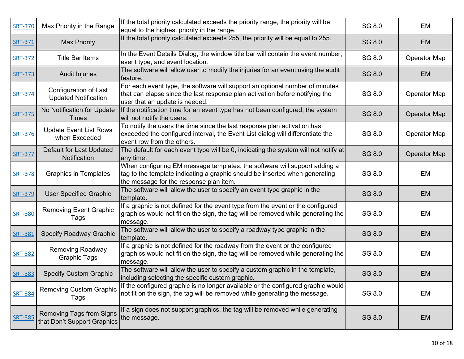| <b>SRT-370</b> | Max Priority in the Range                                      | If the total priority calculated exceeds the priority range, the priority will be<br>equal to the highest priority in the range.                                                                    | SG 8.0        | EM                  |
|----------------|----------------------------------------------------------------|-----------------------------------------------------------------------------------------------------------------------------------------------------------------------------------------------------|---------------|---------------------|
| <b>SRT-371</b> | <b>Max Priority</b>                                            | If the total priority calculated exceeds 255, the priority will be equal to 255.                                                                                                                    | SG 8.0        | <b>EM</b>           |
| <b>SRT-372</b> | <b>Title Bar Items</b>                                         | In the Event Details Dialog, the window title bar will contain the event number,<br>event type, and event location.                                                                                 | SG 8.0        | <b>Operator Map</b> |
| <b>SRT-373</b> | <b>Audit Injuries</b>                                          | The software will allow user to modify the injuries for an event using the audit<br>feature.                                                                                                        | SG 8.0        | <b>EM</b>           |
| <b>SRT-374</b> | Configuration of Last<br><b>Updated Notification</b>           | For each event type, the software will support an optional number of minutes<br>that can elapse since the last response plan activation before notifying the<br>user that an update is needed.      | SG 8.0        | <b>Operator Map</b> |
| <b>SRT-375</b> | No Notification for Update<br>Times                            | If the notification time for an event type has not been configured, the system<br>will not notify the users.                                                                                        | SG 8.0        | <b>Operator Map</b> |
| <b>SRT-376</b> | <b>Update Event List Rows</b><br>when Exceeded                 | To notify the users the time since the last response plan activation has<br>exceeded the configured interval, the Event List dialog will differentiate the<br>event row from the others.            | SG 8.0        | <b>Operator Map</b> |
| <b>SRT-377</b> | Default for Last Updated<br>Notification                       | The default for each event type will be 0, indicating the system will not notify at<br>any time.                                                                                                    | SG 8.0        | <b>Operator Map</b> |
| <b>SRT-378</b> | <b>Graphics in Templates</b>                                   | When configuring EM message templates, the software will support adding a<br>tag to the template indicating a graphic should be inserted when generating<br>the message for the response plan item. | SG 8.0        | EM                  |
| <b>SRT-379</b> | <b>User Specified Graphic</b>                                  | The software will allow the user to specify an event type graphic in the<br>template.                                                                                                               | SG 8.0        | <b>EM</b>           |
| <b>SRT-380</b> | <b>Removing Event Graphic</b><br>Tags                          | If a graphic is not defined for the event type from the event or the configured<br>graphics would not fit on the sign, the tag will be removed while generating the<br>message.                     | SG 8.0        | EM                  |
| <b>SRT-381</b> | <b>Specify Roadway Graphic</b>                                 | The software will allow the user to specify a roadway type graphic in the<br>template.                                                                                                              | SG 8.0        | EM                  |
| <b>SRT-382</b> | <b>Removing Roadway</b><br><b>Graphic Tags</b>                 | If a graphic is not defined for the roadway from the event or the configured<br>graphics would not fit on the sign, the tag will be removed while generating the<br>message.                        | SG 8.0        | EM                  |
| <b>SRT-383</b> | <b>Specify Custom Graphic</b>                                  | The software will allow the user to specify a custom graphic in the template,<br>including selecting the specific custom graphic.                                                                   | <b>SG 8.0</b> | <b>EM</b>           |
| <b>SRT-384</b> | <b>Removing Custom Graphic</b><br>Tags                         | If the configured graphic is no longer available or the configured graphic would<br>not fit on the sign, the tag will be removed while generating the message.                                      | SG 8.0        | EM                  |
| <b>SRT-385</b> | <b>Removing Tags from Signs</b><br>that Don't Support Graphics | If a sign does not support graphics, the tag will be removed while generating<br>the message.                                                                                                       | SG 8.0        | <b>EM</b>           |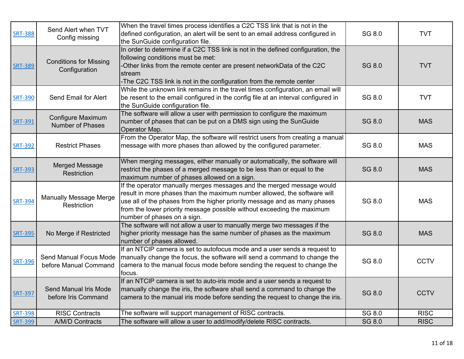| <b>SRT-388</b> | Send Alert when TVT<br>Config missing           | When the travel times process identifies a C2C TSS link that is not in the<br>defined configuration, an alert will be sent to an email address configured in                                                                                                                                                                            | SG 8.0        | <b>TVT</b>  |
|----------------|-------------------------------------------------|-----------------------------------------------------------------------------------------------------------------------------------------------------------------------------------------------------------------------------------------------------------------------------------------------------------------------------------------|---------------|-------------|
|                |                                                 | the SunGuide configuration file.                                                                                                                                                                                                                                                                                                        |               |             |
| <b>SRT-389</b> | <b>Conditions for Missing</b><br>Configuration  | In order to determine if a C2C TSS link is not in the defined configuration, the<br>following conditions must be met:<br>Other links from the remote center are present networkData of the C2C<br>stream<br>-The C2C TSS link is not in the configuration from the remote center                                                        | <b>SG 8.0</b> | <b>TVT</b>  |
| <b>SRT-390</b> | Send Email for Alert                            | While the unknown link remains in the travel times configuration, an email will<br>be resent to the email configured in the config file at an interval configured in<br>the SunGuide configuration file.                                                                                                                                | SG 8.0        | <b>TVT</b>  |
| <b>SRT-391</b> | Configure Maximum<br><b>Number of Phases</b>    | The software will allow a user with permission to configure the maximum<br>number of phases that can be put on a DMS sign using the SunGuide<br>Operator Map.                                                                                                                                                                           | <b>SG 8.0</b> | <b>MAS</b>  |
| <b>SRT-392</b> | <b>Restrict Phases</b>                          | From the Operator Map, the software will restrict users from creating a manual<br>message with more phases than allowed by the configured parameter.                                                                                                                                                                                    | SG 8.0        | <b>MAS</b>  |
| <b>SRT-393</b> | <b>Merged Message</b><br>Restriction            | When merging messages, either manually or automatically, the software will<br>restrict the phases of a merged message to be less than or equal to the<br>maximum number of phases allowed on a sign.                                                                                                                                    | SG 8.0        | <b>MAS</b>  |
| <b>SRT-394</b> | <b>Manually Message Merge</b><br>Restriction    | If the operator manually merges messages and the merged message would<br>result in more phases than the maximum number allowed, the software will<br>use all of the phases from the higher priority message and as many phases<br>from the lower priority message possible without exceeding the maximum<br>number of phases on a sign. | SG 8.0        | <b>MAS</b>  |
| <b>SRT-395</b> | No Merge if Restricted                          | The software will not allow a user to manually merge two messages if the<br>higher priority message has the same number of phases as the maximum<br>number of phases allowed.                                                                                                                                                           | <b>SG 8.0</b> | <b>MAS</b>  |
| <b>SRT-396</b> | Send Manual Focus Mode<br>before Manual Command | If an NTCIP camera is set to autofocus mode and a user sends a request to<br>manually change the focus, the software will send a command to change the<br>camera to the manual focus mode before sending the request to change the<br>focus.                                                                                            | SG 8.0        | <b>CCTV</b> |
| <b>SRT-397</b> | Send Manual Iris Mode<br>before Iris Command    | If an NTCIP camera is set to auto-iris mode and a user sends a request to<br>manually change the iris, the software shall send a command to change the<br>camera to the manual iris mode before sending the request to change the iris.                                                                                                 | <b>SG 8.0</b> | <b>CCTV</b> |
| <b>SRT-398</b> | <b>RISC Contracts</b>                           | The software will support management of RISC contracts.                                                                                                                                                                                                                                                                                 | SG 8.0        | <b>RISC</b> |
| <b>SRT-399</b> | A/M/D Contracts                                 | The software will allow a user to add/modify/delete RISC contracts.                                                                                                                                                                                                                                                                     | <b>SG 8.0</b> | <b>RISC</b> |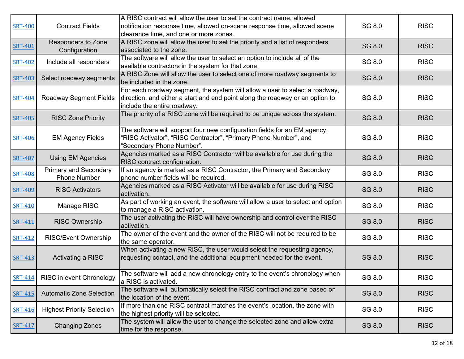|                |                                   | A RISC contract will allow the user to set the contract name, allowed            |               |             |
|----------------|-----------------------------------|----------------------------------------------------------------------------------|---------------|-------------|
|                | <b>Contract Fields</b>            | notification response time, allowed on-scene response time, allowed scene        | SG 8.0        | <b>RISC</b> |
| <b>SRT-400</b> |                                   |                                                                                  |               |             |
|                |                                   | clearance time, and one or more zones.                                           |               |             |
| <b>SRT-401</b> | Responders to Zone                | A RISC zone will allow the user to set the priority and a list of responders     | SG 8.0        | <b>RISC</b> |
|                | Configuration                     | associated to the zone.                                                          |               |             |
| <b>SRT-402</b> | Include all responders            | The software will allow the user to select an option to include all of the       | SG 8.0        | <b>RISC</b> |
|                |                                   | available contractors in the system for that zone.                               |               |             |
| <b>SRT-403</b> | Select roadway segments           | A RISC Zone will allow the user to select one of more roadway segments to        | SG 8.0        | <b>RISC</b> |
|                |                                   | be included in the zone.                                                         |               |             |
|                |                                   | For each roadway segment, the system will allow a user to select a roadway,      |               |             |
| <b>SRT-404</b> | <b>Roadway Segment Fields</b>     | direction, and either a start and end point along the roadway or an option to    | SG 8.0        | <b>RISC</b> |
|                |                                   | include the entire roadway.                                                      |               |             |
| <b>SRT-405</b> | <b>RISC Zone Priority</b>         | The priority of a RISC zone will be required to be unique across the system.     | <b>SG 8.0</b> | <b>RISC</b> |
|                |                                   |                                                                                  |               |             |
|                |                                   | The software will support four new configuration fields for an EM agency:        |               |             |
| <b>SRT-406</b> | <b>EM Agency Fields</b>           | "RISC Activator", "RISC Contractor", "Primary Phone Number", and                 | SG 8.0        | <b>RISC</b> |
|                |                                   | "Secondary Phone Number".                                                        |               |             |
| <b>SRT-407</b> | <b>Using EM Agencies</b>          | Agencies marked as a RISC Contractor will be available for use during the        | SG 8.0        | <b>RISC</b> |
|                |                                   | RISC contract configuration.                                                     |               |             |
| <b>SRT-408</b> | <b>Primary and Secondary</b>      | If an agency is marked as a RISC Contractor, the Primary and Secondary           | SG 8.0        | <b>RISC</b> |
|                | <b>Phone Number</b>               | phone number fields will be required.                                            |               |             |
| <b>SRT-409</b> | <b>RISC Activators</b>            | Agencies marked as a RISC Activator will be available for use during RISC        | SG 8.0        | <b>RISC</b> |
|                |                                   | activation.                                                                      |               |             |
| <b>SRT-410</b> | Manage RISC                       | As part of working an event, the software will allow a user to select and option | SG 8.0        | <b>RISC</b> |
|                |                                   | to manage a RISC activation.                                                     |               |             |
|                | <b>RISC Ownership</b>             | The user activating the RISC will have ownership and control over the RISC       | SG 8.0        | <b>RISC</b> |
| SRT-411        |                                   | activation.                                                                      |               |             |
|                |                                   | The owner of the event and the owner of the RISC will not be required to be      | SG 8.0        | <b>RISC</b> |
| SRT-412        | <b>RISC/Event Ownership</b>       | the same operator.                                                               |               |             |
|                |                                   | When activating a new RISC, the user would select the requesting agency,         |               |             |
| <b>SRT-413</b> | Activating a RISC                 | requesting contact, and the additional equipment needed for the event.           | SG 8.0        | <b>RISC</b> |
|                |                                   |                                                                                  |               |             |
|                | SRT-414 RISC in event Chronology  | The software will add a new chronology entry to the event's chronology when      | SG 8.0        | <b>RISC</b> |
|                |                                   | a RISC is activated.                                                             |               |             |
|                |                                   | The software will automatically select the RISC contract and zone based on       |               |             |
| <b>SRT-415</b> | <b>Automatic Zone Selection</b>   | the location of the event.                                                       | SG 8.0        | <b>RISC</b> |
|                |                                   | If more than one RISC contract matches the event's location, the zone with       |               |             |
| <b>SRT-416</b> | <b>Highest Priority Selection</b> | the highest priority will be selected.                                           | SG 8.0        | <b>RISC</b> |
|                |                                   | The system will allow the user to change the selected zone and allow extra       |               |             |
| SRT-417        | <b>Changing Zones</b>             | time for the response.                                                           | SG 8.0        | <b>RISC</b> |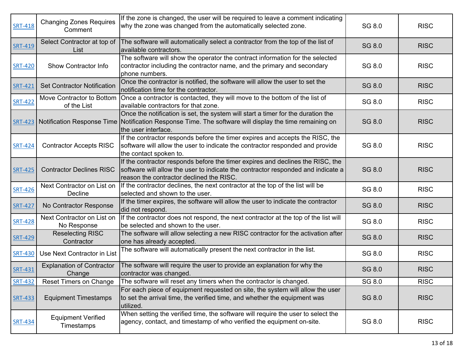| <b>SRT-418</b> | <b>Changing Zones Requires</b><br>Comment  | If the zone is changed, the user will be required to leave a comment indicating<br>why the zone was changed from the automatically selected zone.                                                                         | SG 8.0 | <b>RISC</b> |
|----------------|--------------------------------------------|---------------------------------------------------------------------------------------------------------------------------------------------------------------------------------------------------------------------------|--------|-------------|
| <b>SRT-419</b> | Select Contractor at top of<br>List        | The software will automatically select a contractor from the top of the list of<br>available contractors.                                                                                                                 | SG 8.0 | <b>RISC</b> |
| <b>SRT-420</b> | Show Contractor Info                       | The software will show the operator the contract information for the selected<br>contractor including the contractor name, and the primary and secondary<br>phone numbers.                                                | SG 8.0 | <b>RISC</b> |
| <b>SRT-421</b> | <b>Set Contractor Notification</b>         | Once the contractor is notified, the software will allow the user to set the<br>notification time for the contractor.                                                                                                     | SG 8.0 | <b>RISC</b> |
| <b>SRT-422</b> | Move Contractor to Bottom<br>of the List   | Once a contractor is contacted, they will move to the bottom of the list of<br>available contractors for that zone.                                                                                                       | SG 8.0 | <b>RISC</b> |
|                |                                            | Once the notification is set, the system will start a timer for the duration the<br>SRT-423 Notification Response Time Notification Response Time. The software will display the time remaining on<br>the user interface. | SG 8.0 | <b>RISC</b> |
| <b>SRT-424</b> | <b>Contractor Accepts RISC</b>             | If the contractor responds before the timer expires and accepts the RISC, the<br>software will allow the user to indicate the contractor responded and provide<br>the contact spoken to.                                  | SG 8.0 | <b>RISC</b> |
| <b>SRT-425</b> | <b>Contractor Declines RISC</b>            | If the contractor responds before the timer expires and declines the RISC, the<br>software will allow the user to indicate the contractor responded and indicate a<br>reason the contractor declined the RISC.            | SG 8.0 | <b>RISC</b> |
| <b>SRT-426</b> | Next Contractor on List on<br>Decline      | If the contractor declines, the next contractor at the top of the list will be<br>selected and shown to the user.                                                                                                         | SG 8.0 | <b>RISC</b> |
| <b>SRT-427</b> | No Contractor Response                     | If the timer expires, the software will allow the user to indicate the contractor<br>did not respond.                                                                                                                     | SG 8.0 | <b>RISC</b> |
| <b>SRT-428</b> | Next Contractor on List on<br>No Response  | If the contractor does not respond, the next contractor at the top of the list will<br>be selected and shown to the user.                                                                                                 | SG 8.0 | <b>RISC</b> |
| <b>SRT-429</b> | <b>Reselecting RISC</b><br>Contractor      | The software will allow selecting a new RISC contractor for the activation after<br>one has already accepted.                                                                                                             | SG 8.0 | <b>RISC</b> |
| <b>SRT-430</b> | Use Next Contractor in List                | The software will automatically present the next contractor in the list.                                                                                                                                                  | SG 8.0 | <b>RISC</b> |
| <b>SRT-431</b> | <b>Explanation of Contractor</b><br>Change | The software will require the user to provide an explanation for why the<br>contractor was changed.                                                                                                                       | SG 8.0 | <b>RISC</b> |
| <b>SRT-432</b> | <b>Reset Timers on Change</b>              | The software will reset any timers when the contractor is changed.                                                                                                                                                        | SG 8.0 | <b>RISC</b> |
| <b>SRT-433</b> | <b>Equipment Timestamps</b>                | For each piece of equipment requested on site, the system will allow the user<br>to set the arrival time, the verified time, and whether the equipment was<br>utilized.                                                   | SG 8.0 | <b>RISC</b> |
| <b>SRT-434</b> | <b>Equipment Verified</b><br>Timestamps    | When setting the verified time, the software will require the user to select the<br>agency, contact, and timestamp of who verified the equipment on-site.                                                                 | SG 8.0 | <b>RISC</b> |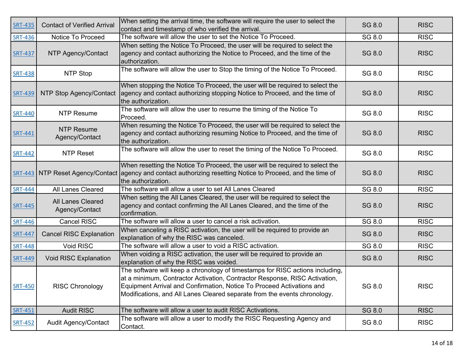| <b>SRT-435</b> | <b>Contact of Verified Arrival</b>  | When setting the arrival time, the software will require the user to select the<br>contact and timestamp of who verified the arrival.                                                                                                                                                                             | SG 8.0        | <b>RISC</b> |
|----------------|-------------------------------------|-------------------------------------------------------------------------------------------------------------------------------------------------------------------------------------------------------------------------------------------------------------------------------------------------------------------|---------------|-------------|
| <b>SRT-436</b> | Notice To Proceed                   | The software will allow the user to set the Notice To Proceed.                                                                                                                                                                                                                                                    | SG 8.0        | <b>RISC</b> |
| <b>SRT-437</b> | NTP Agency/Contact                  | When setting the Notice To Proceed, the user will be required to select the<br>agency and contact authorizing the Notice to Proceed, and the time of the<br>authorization.                                                                                                                                        | SG 8.0        | <b>RISC</b> |
| <b>SRT-438</b> | NTP Stop                            | The software will allow the user to Stop the timing of the Notice To Proceed.                                                                                                                                                                                                                                     | SG 8.0        | <b>RISC</b> |
| <b>SRT-439</b> | NTP Stop Agency/Contact             | When stopping the Notice To Proceed, the user will be required to select the<br>agency and contact authorizing stopping Notice to Proceed, and the time of<br>the authorization.                                                                                                                                  | SG 8.0        | <b>RISC</b> |
| <b>SRT-440</b> | <b>NTP Resume</b>                   | The software will allow the user to resume the timing of the Notice To<br>Proceed.                                                                                                                                                                                                                                | SG 8.0        | <b>RISC</b> |
| <b>SRT-441</b> | <b>NTP Resume</b><br>Agency/Contact | When resuming the Notice To Proceed, the user will be required to select the<br>agency and contact authorizing resuming Notice to Proceed, and the time of<br>the authorization.                                                                                                                                  | SG 8.0        | <b>RISC</b> |
| <b>SRT-442</b> | <b>NTP Reset</b>                    | The software will allow the user to reset the timing of the Notice To Proceed.                                                                                                                                                                                                                                    | SG 8.0        | <b>RISC</b> |
|                |                                     | When resetting the Notice To Proceed, the user will be required to select the<br>SRT-443 NTP Reset Agency/Contact agency and contact authorizing resetting Notice to Proceed, and the time of<br>the authorization.                                                                                               | SG 8.0        | <b>RISC</b> |
| <b>SRT-444</b> | All Lanes Cleared                   | The software will allow a user to set All Lanes Cleared                                                                                                                                                                                                                                                           | SG 8.0        | <b>RISC</b> |
| <b>SRT-445</b> | All Lanes Cleared<br>Agency/Contact | When setting the All Lanes Cleared, the user will be required to select the<br>agency and contact confirming the All Lanes Cleared, and the time of the<br>confirmation.                                                                                                                                          | <b>SG 8.0</b> | <b>RISC</b> |
| <b>SRT-446</b> | <b>Cancel RISC</b>                  | The software will allow a user to cancel a risk activation.                                                                                                                                                                                                                                                       | SG 8.0        | <b>RISC</b> |
| <b>SRT-447</b> | <b>Cancel RISC Explanation</b>      | When canceling a RISC activation, the user will be required to provide an<br>explanation of why the RISC was canceled.                                                                                                                                                                                            | <b>SG 8.0</b> | <b>RISC</b> |
| <b>SRT-448</b> | Void RISC                           | The software will allow a user to void a RISC activation.                                                                                                                                                                                                                                                         | SG 8.0        | <b>RISC</b> |
| <b>SRT-449</b> | Void RISC Explanation               | When voiding a RISC activation, the user will be required to provide an<br>explanation of why the RISC was voided.                                                                                                                                                                                                | SG 8.0        | <b>RISC</b> |
| <b>SRT-450</b> | <b>RISC Chronology</b>              | The software will keep a chronology of timestamps for RISC actions including,<br>at a minimum, Contractor Activation, Contractor Response, RISC Activation,<br>Equipment Arrival and Confirmation, Notice To Proceed Activations and<br>Modifications, and All Lanes Cleared separate from the events chronology. | SG 8.0        | <b>RISC</b> |
| <b>SRT-451</b> | <b>Audit RISC</b>                   | The software will allow a user to audit RISC Activations.                                                                                                                                                                                                                                                         | SG 8.0        | <b>RISC</b> |
| <b>SRT-452</b> | <b>Audit Agency/Contact</b>         | The software will allow a user to modify the RISC Requesting Agency and<br>Contact.                                                                                                                                                                                                                               | SG 8.0        | <b>RISC</b> |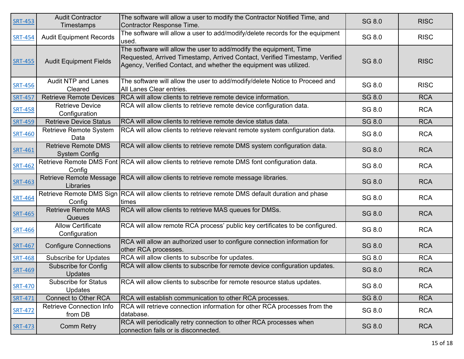| <b>SRT-453</b> | <b>Audit Contractor</b><br>Timestamps              | The software will allow a user to modify the Contractor Notified Time, and<br>Contractor Response Time.                                                                                                                | SG 8.0        | <b>RISC</b> |
|----------------|----------------------------------------------------|------------------------------------------------------------------------------------------------------------------------------------------------------------------------------------------------------------------------|---------------|-------------|
| <b>SRT-454</b> | <b>Audit Equipment Records</b>                     | The software will allow a user to add/modify/delete records for the equipment<br>used.                                                                                                                                 | SG 8.0        | <b>RISC</b> |
| <b>SRT-455</b> | <b>Audit Equipment Fields</b>                      | The software will allow the user to add/modify the equipment, Time<br>Requested, Arrived Timestamp, Arrived Contact, Verified Timestamp, Verified<br>Agency, Verified Contact, and whether the equipment was utilized. | <b>SG 8.0</b> | <b>RISC</b> |
| <b>SRT-456</b> | <b>Audit NTP and Lanes</b><br>Cleared              | The software will allow the user to add/modify/delete Notice to Proceed and<br>All Lanes Clear entries.                                                                                                                | SG 8.0        | <b>RISC</b> |
| <b>SRT-457</b> | <b>Retrieve Remote Devices</b>                     | RCA will allow clients to retrieve remote device information.                                                                                                                                                          | SG 8.0        | <b>RCA</b>  |
| <b>SRT-458</b> | <b>Retrieve Device</b><br>Configuration            | RCA will allow clients to retrieve remote device configuration data.                                                                                                                                                   | SG 8.0        | <b>RCA</b>  |
| <b>SRT-459</b> | <b>Retrieve Device Status</b>                      | RCA will allow clients to retrieve remote device status data.                                                                                                                                                          | SG 8.0        | <b>RCA</b>  |
| <b>SRT-460</b> | Retrieve Remote System<br>Data                     | RCA will allow clients to retrieve relevant remote system configuration data.                                                                                                                                          | SG 8.0        | <b>RCA</b>  |
| <b>SRT-461</b> | <b>Retrieve Remote DMS</b><br><b>System Config</b> | RCA will allow clients to retrieve remote DMS system configuration data.                                                                                                                                               | SG 8.0        | <b>RCA</b>  |
| <b>SRT-462</b> | Config                                             | Retrieve Remote DMS Font RCA will allow clients to retrieve remote DMS font configuration data.                                                                                                                        | SG 8.0        | <b>RCA</b>  |
| <b>SRT-463</b> | <b>Retrieve Remote Message</b><br>Libraries        | RCA will allow clients to retrieve remote message libraries.                                                                                                                                                           | SG 8.0        | <b>RCA</b>  |
| <b>SRT-464</b> | Config                                             | Retrieve Remote DMS Sign RCA will allow clients to retrieve remote DMS default duration and phase<br>times                                                                                                             | SG 8.0        | <b>RCA</b>  |
| <b>SRT-465</b> | <b>Retrieve Remote MAS</b><br>Queues               | RCA will allow clients to retrieve MAS queues for DMSs.                                                                                                                                                                | SG 8.0        | <b>RCA</b>  |
| <b>SRT-466</b> | <b>Allow Certificate</b><br>Configuration          | RCA will allow remote RCA process' public key certificates to be configured.                                                                                                                                           | SG 8.0        | <b>RCA</b>  |
| <b>SRT-467</b> | <b>Configure Connections</b>                       | RCA will allow an authorized user to configure connection information for<br>other RCA processes.                                                                                                                      | SG 8.0        | <b>RCA</b>  |
| <b>SRT-468</b> | <b>Subscribe for Updates</b>                       | RCA will allow clients to subscribe for updates.                                                                                                                                                                       | SG 8.0        | <b>RCA</b>  |
| <b>SRT-469</b> | <b>Subscribe for Config</b><br><b>Updates</b>      | RCA will allow clients to subscribe for remote device configuration updates.                                                                                                                                           | SG 8.0        | <b>RCA</b>  |
| <b>SRT-470</b> | <b>Subscribe for Status</b><br><b>Updates</b>      | RCA will allow clients to subscribe for remote resource status updates.                                                                                                                                                | SG 8.0        | <b>RCA</b>  |
| <b>SRT-471</b> | <b>Connect to Other RCA</b>                        | RCA will establish communication to other RCA processes.                                                                                                                                                               | <b>SG 8.0</b> | <b>RCA</b>  |
| <b>SRT-472</b> | <b>Retrieve Connection Info</b><br>from DB         | RCA will retrieve connection information for other RCA processes from the<br>database.                                                                                                                                 | SG 8.0        | <b>RCA</b>  |
| <b>SRT-473</b> | <b>Comm Retry</b>                                  | RCA will periodically retry connection to other RCA processes when<br>connection fails or is disconnected.                                                                                                             | SG 8.0        | <b>RCA</b>  |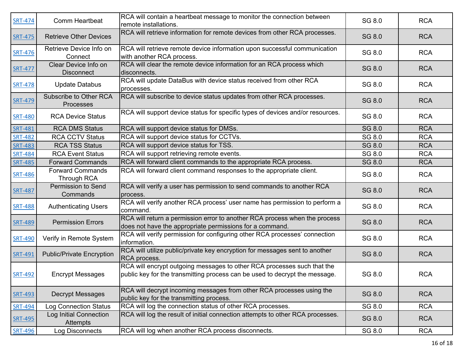| <b>SRT-474</b> | Comm Heartbeat                            | RCA will contain a heartbeat message to monitor the connection between<br>remote installations.                                                        | SG 8.0 | <b>RCA</b> |
|----------------|-------------------------------------------|--------------------------------------------------------------------------------------------------------------------------------------------------------|--------|------------|
| <b>SRT-475</b> | <b>Retrieve Other Devices</b>             | RCA will retrieve information for remote devices from other RCA processes.                                                                             | SG 8.0 | <b>RCA</b> |
| <b>SRT-476</b> | Retrieve Device Info on<br>Connect        | RCA will retrieve remote device information upon successful communication<br>with another RCA process.                                                 | SG 8.0 | <b>RCA</b> |
| <b>SRT-477</b> | Clear Device Info on<br><b>Disconnect</b> | RCA will clear the remote device information for an RCA process which<br>disconnects.                                                                  | SG 8.0 | <b>RCA</b> |
| <b>SRT-478</b> | <b>Update Databus</b>                     | RCA will update DataBus with device status received from other RCA<br>processes.                                                                       | SG 8.0 | <b>RCA</b> |
| SRT-479        | Subscribe to Other RCA<br>Processes       | RCA will subscribe to device status updates from other RCA processes.                                                                                  | SG 8.0 | <b>RCA</b> |
| <b>SRT-480</b> | <b>RCA Device Status</b>                  | RCA will support device status for specific types of devices and/or resources.                                                                         | SG 8.0 | <b>RCA</b> |
| <b>SRT-481</b> | <b>RCA DMS Status</b>                     | RCA will support device status for DMSs.                                                                                                               | SG 8.0 | <b>RCA</b> |
| <b>SRT-482</b> | <b>RCA CCTV Status</b>                    | RCA will support device status for CCTVs.                                                                                                              | SG 8.0 | <b>RCA</b> |
| <b>SRT-483</b> | <b>RCA TSS Status</b>                     | RCA will support device status for TSS.                                                                                                                | SG 8.0 | <b>RCA</b> |
| <b>SRT-484</b> | <b>RCA Event Status</b>                   | RCA will support retrieving remote events.                                                                                                             | SG 8.0 | <b>RCA</b> |
| <b>SRT-485</b> | <b>Forward Commands</b>                   | RCA will forward client commands to the appropriate RCA process.                                                                                       | SG 8.0 | <b>RCA</b> |
| <b>SRT-486</b> | <b>Forward Commands</b><br>Through RCA    | RCA will forward client command responses to the appropriate client.                                                                                   | SG 8.0 | <b>RCA</b> |
| <b>SRT-487</b> | Permission to Send<br>Commands            | RCA will verify a user has permission to send commands to another RCA<br>process.                                                                      | SG 8.0 | <b>RCA</b> |
| <b>SRT-488</b> | <b>Authenticating Users</b>               | RCA will verify another RCA process' user name has permission to perform a<br>command.                                                                 | SG 8.0 | <b>RCA</b> |
| <b>SRT-489</b> | <b>Permission Errors</b>                  | RCA will return a permission error to another RCA process when the process<br>does not have the appropriate permissions for a command.                 | SG 8.0 | <b>RCA</b> |
| <b>SRT-490</b> | Verify in Remote System                   | RCA will verify permission for configuring other RCA processes' connection<br>information.                                                             | SG 8.0 | <b>RCA</b> |
| SRT-491        | <b>Public/Private Encryption</b>          | RCA will utilize public/private key encryption for messages sent to another<br>RCA process.                                                            | SG 8.0 | <b>RCA</b> |
| SRT-492        | <b>Encrypt Messages</b>                   | RCA will encrypt outgoing messages to other RCA processes such that the<br>public key for the transmitting process can be used to decrypt the message. | SG 8.0 | <b>RCA</b> |
| <b>SRT-493</b> | <b>Decrypt Messages</b>                   | RCA will decrypt incoming messages from other RCA processes using the<br>public key for the transmitting process.                                      | SG 8.0 | <b>RCA</b> |
| <b>SRT-494</b> | Log Connection Status                     | RCA will log the connection status of other RCA processes.                                                                                             | SG 8.0 | <b>RCA</b> |
| <b>SRT-495</b> | Log Initial Connection<br>Attempts        | RCA will log the result of initial connection attempts to other RCA processes.                                                                         | SG 8.0 | <b>RCA</b> |
| <b>SRT-496</b> | Log Disconnects                           | RCA will log when another RCA process disconnects.                                                                                                     | SG 8.0 | <b>RCA</b> |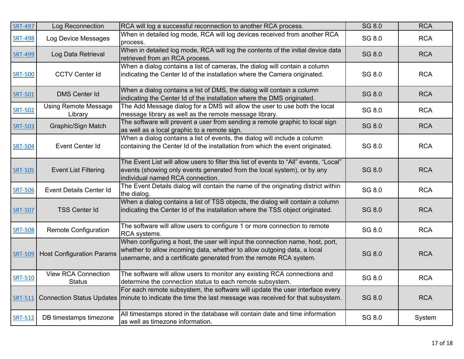| <b>SRT-497</b> | Log Reconnection                            | RCA will log a successful reconnection to another RCA process.                                                                                                                                                                | SG 8.0        | <b>RCA</b> |
|----------------|---------------------------------------------|-------------------------------------------------------------------------------------------------------------------------------------------------------------------------------------------------------------------------------|---------------|------------|
| <b>SRT-498</b> | <b>Log Device Messages</b>                  | When in detailed log mode, RCA will log devices received from another RCA<br>process.                                                                                                                                         | SG 8.0        | <b>RCA</b> |
| <b>SRT-499</b> | Log Data Retrieval                          | When in detailed log mode, RCA will log the contents of the initial device data<br>retrieved from an RCA process.                                                                                                             | SG 8.0        | <b>RCA</b> |
| <b>SRT-500</b> | <b>CCTV Center Id</b>                       | When a dialog contains a list of cameras, the dialog will contain a column<br>indicating the Center Id of the installation where the Camera originated.                                                                       | SG 8.0        | <b>RCA</b> |
| <b>SRT-501</b> | <b>DMS Center Id</b>                        | When a dialog contains a list of DMS, the dialog will contain a column<br>indicating the Center Id of the installation where the DMS originated.                                                                              | <b>SG 8.0</b> | <b>RCA</b> |
| <b>SRT-502</b> | <b>Using Remote Message</b><br>Library      | The Add Message dialog for a DMS will allow the user to use both the local<br>message library as well as the remote message library.                                                                                          | SG 8.0        | <b>RCA</b> |
| <b>SRT-503</b> | <b>Graphic/Sign Match</b>                   | The software will prevent a user from sending a remote graphic to local sign<br>as well as a local graphic to a remote sign.                                                                                                  | SG 8.0        | <b>RCA</b> |
| <b>SRT-504</b> | Event Center Id                             | When a dialog contains a list of events, the dialog will include a column<br>containing the Center Id of the installation from which the event originated.                                                                    | SG 8.0        | <b>RCA</b> |
| <b>SRT-505</b> | <b>Event List Filtering</b>                 | The Event List will allow users to filter this list of events to "All" events, "Local"<br>events (showing only events generated from the local system), or by any<br>individual named RCA connection.                         | SG 8.0        | <b>RCA</b> |
| <b>SRT-506</b> | <b>Event Details Center Id</b>              | The Event Details dialog will contain the name of the originating district within<br>the dialog.                                                                                                                              | SG 8.0        | <b>RCA</b> |
| <b>SRT-507</b> | <b>TSS Center Id</b>                        | When a dialog contains a list of TSS objects, the dialog will contain a column<br>indicating the Center Id of the installation where the TSS object originated.                                                               | SG 8.0        | <b>RCA</b> |
| <b>SRT-508</b> | <b>Remote Configuration</b>                 | The software will allow users to configure 1 or more connection to remote<br>RCA systems.                                                                                                                                     | SG 8.0        | <b>RCA</b> |
| <b>SRT-509</b> | <b>Host Configuration Params</b>            | When configuring a host, the user will input the connection name, host, port,<br>whether to allow incoming data, whether to allow outgoing data, a local<br>username, and a certificate generated from the remote RCA system. | <b>SG 8.0</b> | <b>RCA</b> |
| <b>SRT-510</b> | <b>View RCA Connection</b><br><b>Status</b> | The software will allow users to monitor any existing RCA connections and<br>determine the connection status to each remote subsystem.                                                                                        | SG 8.0        | <b>RCA</b> |
| SRT-511        |                                             | For each remote subsystem, the software will update the user interface every<br>Connection Status Updates   minute to indicate the time the last message was received for that subsystem.                                     | SG 8.0        | <b>RCA</b> |
| SRT-512        | DB timestamps timezone                      | All timestamps stored in the database will contain date and time information<br>as well as timezone information.                                                                                                              | SG 8.0        | System     |